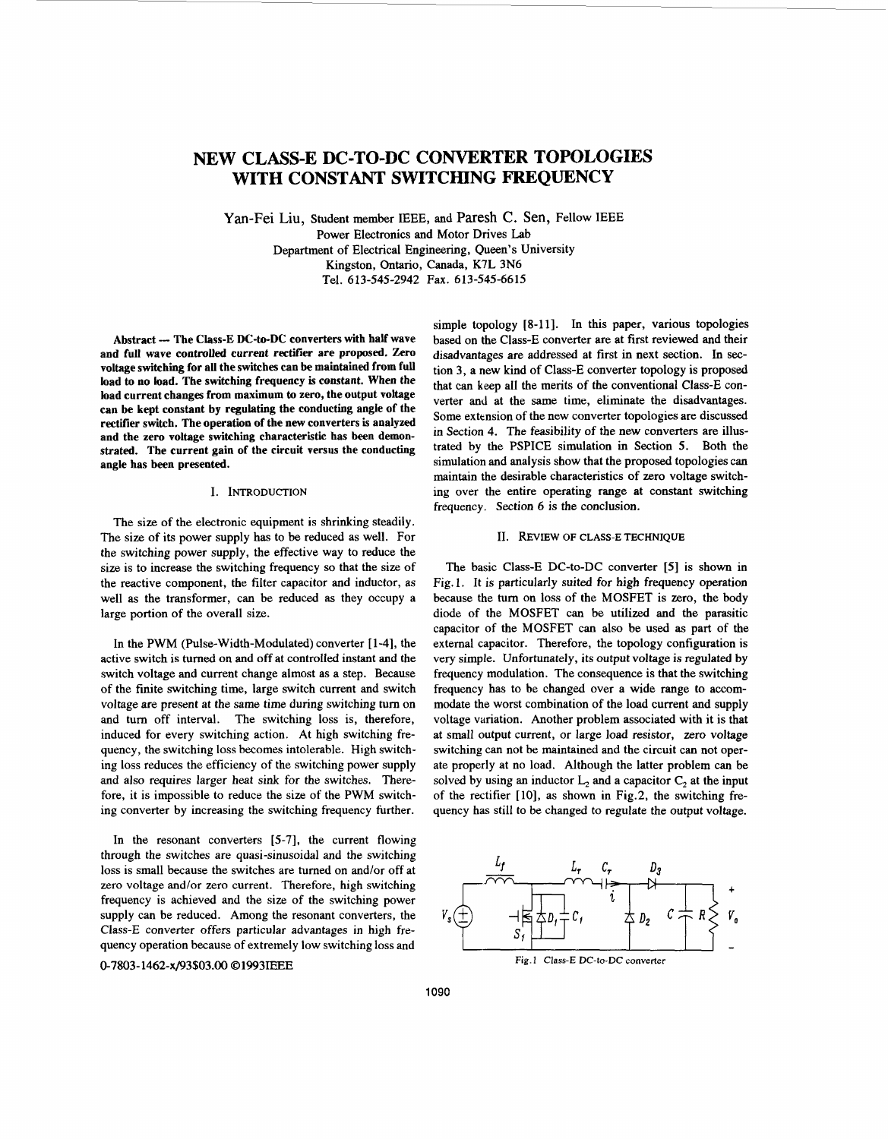# <span id="page-0-0"></span>**NEW CLASS-E DC-TO-DC CONVERTER TOPOLOGIES WITH CONSTANT SWITCHING FREQUENCY**

Yan-Fei Liu, Student member IEEE, and Paresh **C.** Sen, Fellow IEEE Power Electronics and Motor Drives Lab Department of Electrical Engineering, Queen's University Kingston, Ontario, Canada, K7L 3N6 Tel. 613-545-2942 Fax. 613-545-6615

Abstract --- The Class-E DC-to-DC converters with half wave **and full wave controlled current rectifier are proposed.** Zero **voltage switching for all the switches can be maintained from full load to no load. The switching frequency is constant. When the**  load **current changes from maximum to zero, the output voltage can be kept constant by regulating the conducting angle of the rectifier switch. The operation of the new converters is analyzed**  and **the zero voltage switching characteristic has been demonstrated. The current gain of the circuit versus the conducting angle has been presented.** 

# **I. INTRODUCTION**

The size of the electronic equipment is shrinking steadily. The size of its power supply has to be reduced as well. For the switching power supply, the effective way to reduce the size is to increase the switching frequency so that the size of the reactive component, the filter capacitor and inductor, as well as the transformer, can be reduced as they occupy a large portion of the overall size.

In the PWM (Pulse-Width-Modulated) converter [ 1-41, the active switch is turned on and off at controlled instant and the switch voltage and current change almost as a step. Because of the finite switching time, large switch current and switch voltage are present at the same time during switching turn on and turn off interval. The switching loss is, therefore, induced for every switching action. At high switching frequency, the switching loss becomes intolerable. High switching loss reduces the efficiency of the switching power supply and also requires larger heat sink for the switches. Therefore, it is impossible to reduce the size of the PWM switching converter by increasing the switching frequency further.

In the resonant converters  $[5-7]$ , the current flowing through the switches are quasi-sinusoidal and the switching loss is small because the switches are turned on and/or off at loss is small because the switches are turned on and/or off at<br>zero voltage and/or zero current. Therefore, high switching<br>frequency is achieved and the size of the switching power<br>supply can be reduced. Among the resonan zero voltage and/or zero current. Therefore, high switching frequency is achieved and the size of the switching power Class-E converter offers particular advantages in high frequency operation because of extremely low switching loss and -

simple topology [8-11]. In this paper, various topologies based on the Class-E converter are at first reviewed and their disadvantages are addressed at first in next section. In section 3, a new kind of Class-E converter topology is proposed that can keep all the merits of the conventional Class-E converter and at the same time, eliminate the disadvantages. Some extension of the new converter topologies are discussed in Section **4.** The feasibility of the new converters are illustrated by the PSPICE simulation in Section *5.* Both the simulation and analysis show that the proposed topologies can maintain the desirable characteristics of zero voltage switching over the entire operating range at constant switching frequency. Section 6 is the conclusion.

### **11. REVIEW OF CLASS-E TECHNIQUE**

The basic Class-E DC-to-DC converter **[5]** is shown in Fig. **1.** It is particularly suited for high frequency operation because the **turn** on loss of the MOSFET is zero, the body diode of the MOSFET can be utilized and the parasitic capacitor of the MOSFET can also be used as part of the external capacitor. Therefore, the topology configuration is very simple. Unfortunately, its output voltage is regulated by frequency modulation. The consequence is that the switching frequency has to be changed over a wide range to accommodate the worst combination of the load current and supply voltage variation. Another problem associated with it is that at small output current, or large load resistor, zero voltage switching can not be maintained and the circuit can not operate properly at no load. Although the latter problem can be solved by using an inductor  $L_2$  and a capacitor  $C_2$  at the input of the rectifier [10], as shown in Fig.2, the switching frequency has still to be changed to regulate the output voltage.

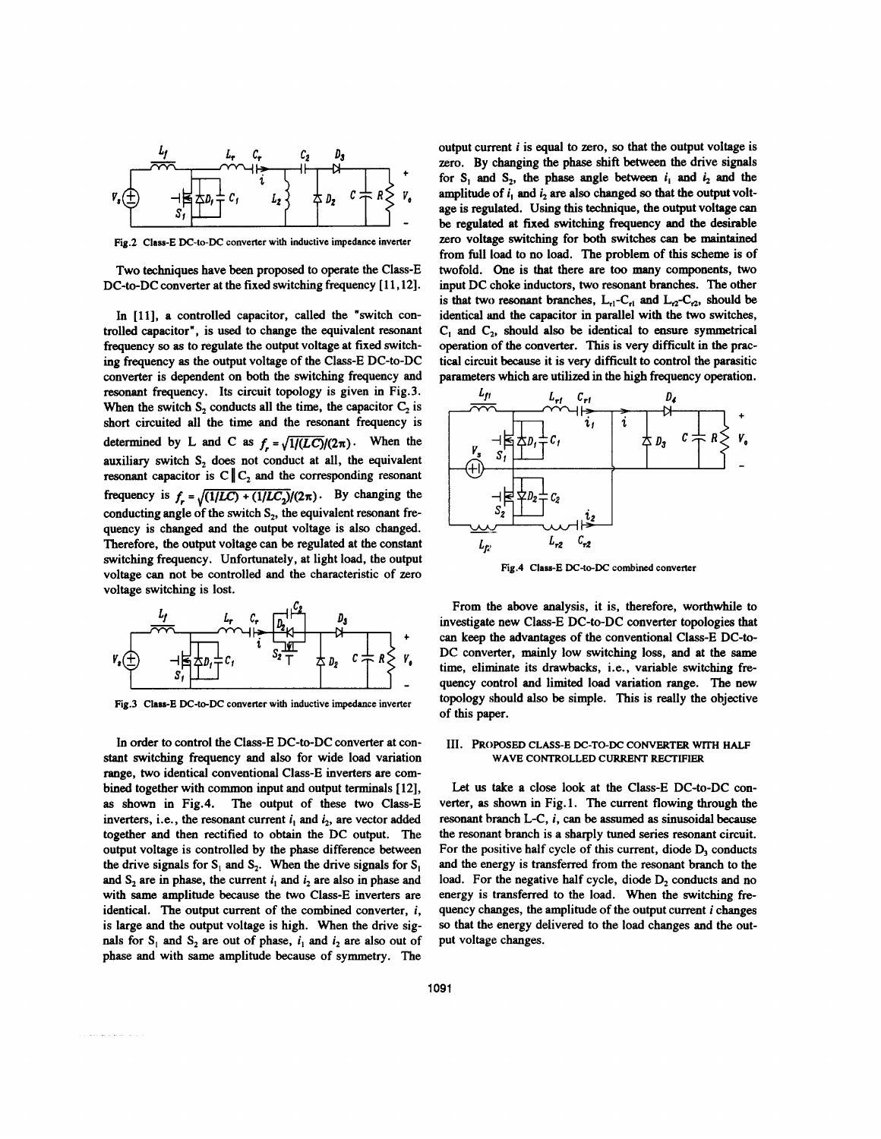

**Fig.2 Class-E DC-to-DC converter with inductive impedance inverter** 

Two techniques have been proposed to operate the Class-E DC-to-DC converter at the fixed switching frequency [11,12].

In [11], a controlled capacitor, called the "switch controlled capacitor", is **used** to change the equivalent resonant frequency *so* **as** to regulate the output voltage at fixed switching frequency **as** the output voltage of the Class-E DC-to-DC converter is dependent on both the switching frequency and resonant frequency. **Its** circuit topology is given in Fig.3. When the switch **S,** conducts all the time, the capacitor *C,* is short circuited all the time and the resonant frequency is determined by L and C as  $f = \sqrt{1/(LC)/(2\pi)}$ . When the auxiliary switch  $S_2$  does not conduct at all, the equivalent resonant capacitor is  $C \| C_2$  and the corresponding resonant conducting angle of the switch S<sub>2</sub>, the equivalent resonant frequency is changed and the output voltage is also changed. Therefore, the output voltage can be regulated at the constant switching frequency. Unfortunately, at light load, the output voltage *can* not be controlled and the characteristic of zero voltage switching is lost. frequency is  $f_r = \sqrt{\frac{1}{LC} + \frac{1}{LC_2}}/(2\pi)$ . By changing the



**Fig.3 Class-E DC-to-DC converter with inductive impedance inverter** 

In order to control the Class-E DC-to-DC converter at constant switching frequency and also for wide load variation range, two identical conventional Class-E inverters **are** combined together with common input and output terminals **[12], as** shown in Fig.4. The output of these two Class-E inverters, i.e., the resonant current  $i_1$  and  $i_2$ , are vector added together and then rectified to obtain the DC output. The output voltage is controlled by the phase difference between the drive signals for  $S_1$  and  $S_2$ . When the drive signals for  $S_1$ and  $S_2$  are in phase, the current  $i_1$  and  $i_2$  are also in phase and with same amplitude **because** the two Class-E inverters are identical. The output current of the combined converter, *i,*  is large and the output voltage is high. When the drive signals for  $S_1$  and  $S_2$  are out of phase,  $i_1$  and  $i_2$  are also out of phase and with same amplitude because of symmetry. The

 $\mathcal{L}$  is a second contract of  $\mathcal{L}$ 

output current *i* is equal to zero, *so* that the output voltage is zero. By changing the phase shift between the drive signals for  $S_1$  and  $S_2$ , the phase angle between  $i_1$  and  $i_2$  and the amplitude of  $i_1$  and  $i_2$  are also changed so that the output voltage is regulated. Using this technique, the output voltage *can*  be regulated at fixed switching frequency and the desirable zero voltage switching for both switches can be maintained from full load to no load. The problem of this scheme is of twofold. One is that there are **too** many components, two input DC choke inductors, two resonant branches. The other is that two resonant branches,  $L_{el} - C_{el}$  and  $L_{2} - C_{2}$ , should be identical and the capacitor in parallel with the two switches, C, and **C,,** should also be identical to ensure symmetrical operation of the converter. This is very difficult in the practical circuit **because** it is very difficult to control the parasitic parameters which are utilized in the high frequency operation.



**Fig.4 Class-E DC-to-DC combined converter** 

From the above analysis, it is, therefore, worthwhile to investigate new Class-E DC-to-DC converter topologies that can keep the advantages of the conventional Class-E DC-to-DC converter, mainly low switching loss, and at the *same*  time, eliminate its drawbacks, i.e., variable switching frequency control and limited load variation range. The new topology should also be simple. This is really the objective of this paper.

#### **111. PROPOSED CLASS-E DC-TO-DC CONVERTER WlTH HALF WAVE CONTROLLED CURRENT RECTIFIER**

Let **us** take a close look at the Class-E DC-to-DC converter, **as** shown in [Fig.](#page-0-0) **1.** The current flowing through the resonant branch L-C, *i, can* be **assumed as** sinusoidal because the resonant branch is a sharply tuned series resonant circuit. For the positive half cycle of this current, diode  $D<sub>3</sub>$  conducts and the energy is transferred from the resonant branch to the load. For the negative half cycle, diode  $D_2$  conducts and no energy is transferred to the load. **When** the switching **fre**quency changes, the amplitude of the output current *i* changes *so* that the energy delivered to the load changes and the output voltage changes.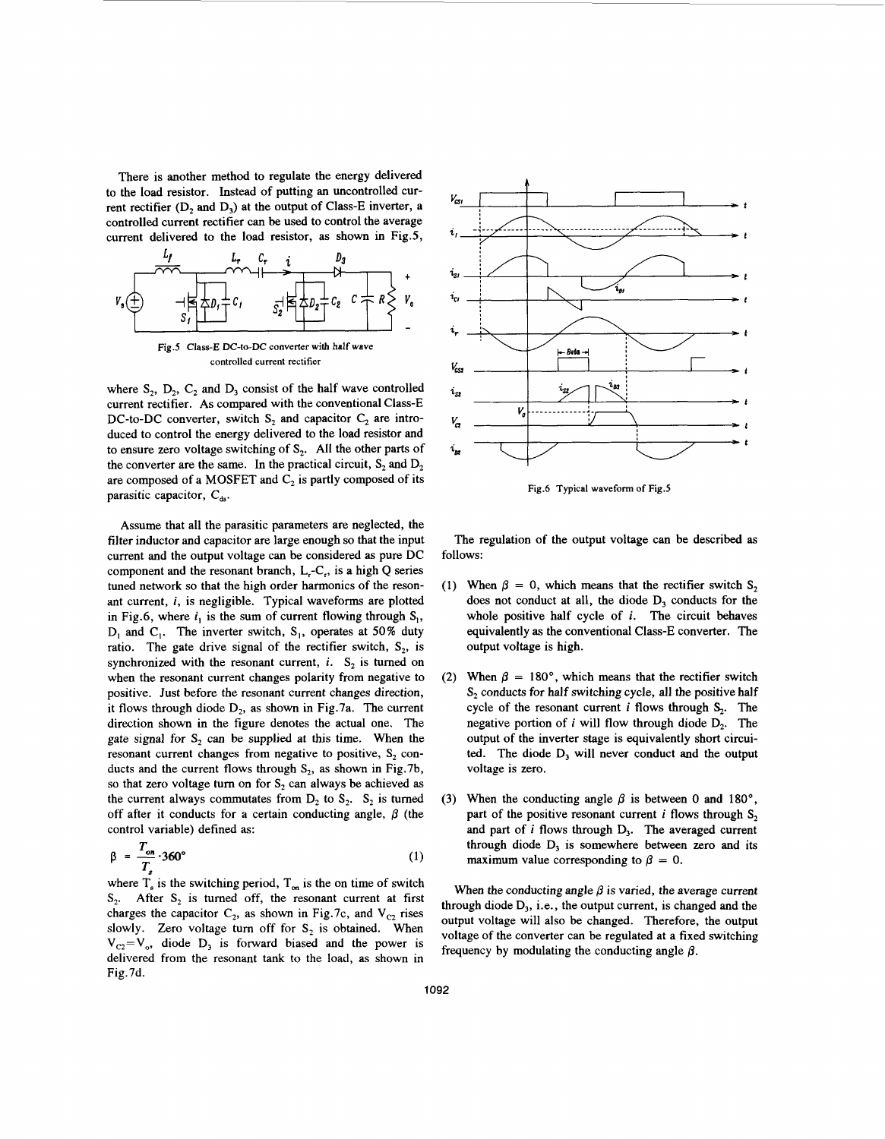There is another method to regulate the energy delivered to the load resistor. Instead of putting an uncontrolled current rectifier  $(D_2 \text{ and } D_3)$  at the output of Class-E inverter, a controlled current rectifier *can* be used to control the average current delivered to the load resistor, as shown in Fig.5,



Fig.5 Class-E DC-to-DC converter with half wave **controlled current rectifier** 

where  $S_2$ ,  $D_2$ ,  $C_2$  and  $D_3$  consist of the half wave controlled current rectifier. As compared with the conventional Class-E DC-to-DC converter, switch S, and capacitor *C,* are introduced to control the energy delivered to the load resistor and to ensure zero voltage switching of  $S_2$ . All the other parts of the converter are the same. In the practical circuit,  $S_2$  and  $D_3$ are composed of a MOSFET and  $C_2$  is partly composed of its parasitic capacitor,  $C_{\text{ds}}$ .

Assume that all the parasitic parameters are neglected, the filter inductor and capacitor are large enough so that the input current and the output voltage can be considered **as** pure DC component and the resonant branch, L,-C,, is a high Q series tuned network so that the high order harmonics of the resonant current, *i,* is negligible. Typical waveforms are plotted in Fig.6, where  $i_1$  is the sum of current flowing through  $S_1$ ,  $D_1$  and  $C_1$ . The inverter switch,  $S_1$ , operates at 50% duty ratio. The gate drive signal of the rectifier switch,  $S_2$ , is synchronized with the resonant current,  $i$ .  $S_2$  is turned on when the resonant current changes polarity from negative to positive. Just before the resonant current changes direction, it flows through diode D<sub>2</sub>, as shown in Fig.7a. The current direction shown in the figure denotes the actual one. The gate signal for  $S_2$  can be supplied at this time. When the resonant current changes from negative to positive,  $S_2$  conducts and the current flows through  $S_2$ , as shown in Fig.7b, so that zero voltage turn on for  $S_2$  can always be achieved as the current always commutates from  $D_2$  to  $S_2$ .  $S_2$  is turned off after it conducts for a certain conducting angle,  $\beta$  (the control variable) defined as:

$$
\beta = \frac{T_{on}}{T_s} \cdot 360^\circ \tag{1}
$$

where  $T_a$  is the switching period,  $T_{on}$  is the on time of switch  $S_2$ . After  $S_2$  is turned off, the resonant current at first charges the capacitor  $C_2$ , as shown in Fig.7c, and  $V_{C_2}$  rises slowly. Zero voltage turn off for S<sub>2</sub> is obtained. When  $V_{C2} = V_o$ , diode  $D_3$  is forward biased and the power is delivered from the resonant tank to the load, as shown in Fig.7d.



**Fig.6 Typical waveform of Fig.5** 

The regulation of the output voltage can be described as follows:

- (1) When  $\beta = 0$ , which means that the rectifier switch S<sub>2</sub> does not conduct at all, the diode  $D_3$  conducts for the whole positive half cycle of *i.* The circuit behaves equivalently **as** the conventional Class-E converter. The output voltage is high.
- $(2)$ When  $\beta = 180^{\circ}$ , which means that the rectifier switch  $S<sub>2</sub>$  conducts for half switching cycle, all the positive half cycle of the resonant current  $i$  flows through  $S_2$ . The negative portion of  $i$  will flow through diode  $D_2$ . The output of the inverter stage is equivalently short circuited. The diode D, will never conduct and the output voltage is zero.
- (3) When the conducting angle  $\beta$  is between 0 and 180°, part of the positive resonant current *i* flows through  $S_2$ and part of  $i$  flows through  $D_3$ . The averaged current through diode  $D_3$  is somewhere between zero and its maximum value corresponding to  $\beta = 0$ .

When the conducting angle  $\beta$  is varied, the average current through diode  $D_3$ , i.e., the output current, is changed and the output voltage will also be changed. Therefore, the output voltage of the converter can be regulated at a fixed switching frequency by modulating the conducting angle  $\beta$ .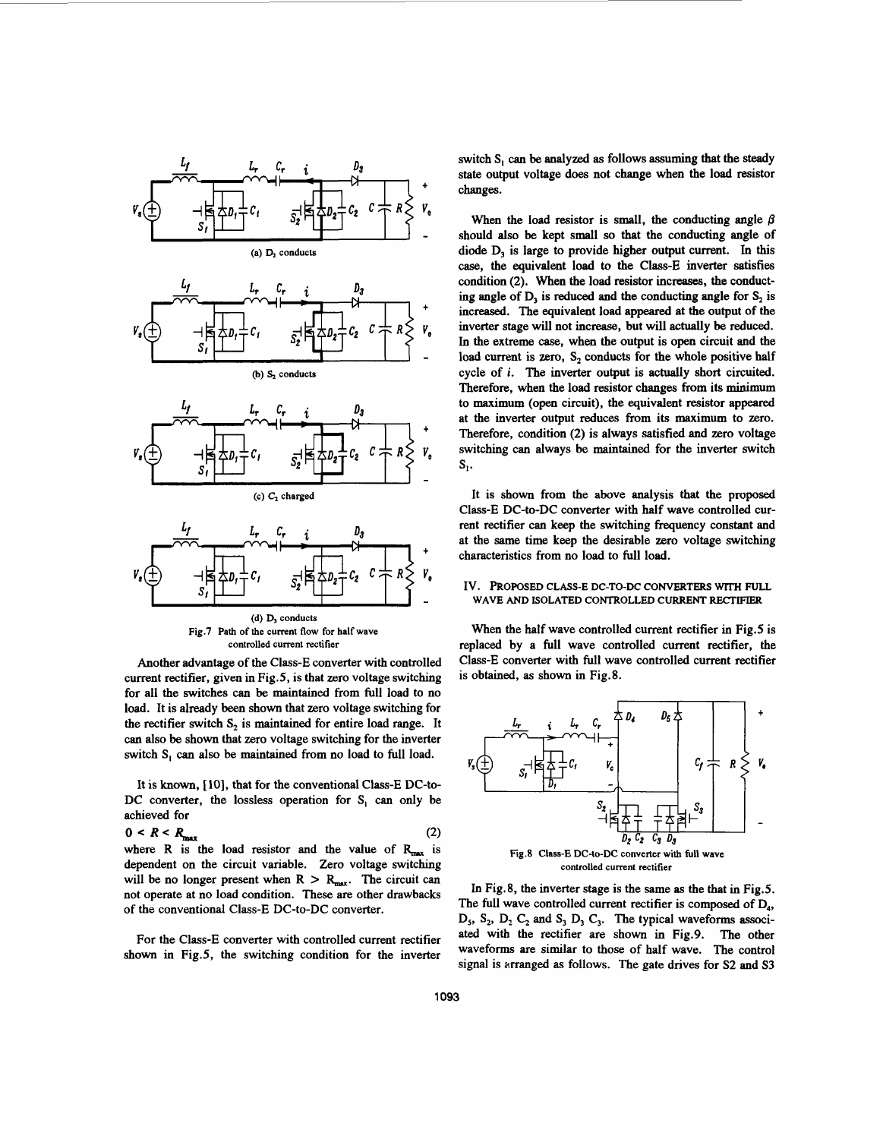

Another advantage of the Class-E converter with controlled current rectifier, given in Fig.5, is that zero voltage switching for all the switches can be maintained from full load to no load. It is already been shown that zero voltage switching for the rectifier switch  $S_2$  is maintained for entire load range. It can also be shown that zero voltage switching for the inverter switch S, *can* also be maintained from no load to full load.

It is **known,** [ **101,** that for the conventional Class-E DC-to-DC converter, the lossless operation for S, *can* only be achieved for

$$
0 < R < R_{\text{max}} \tag{2}
$$
\nwhere R is the load resistor and the value of R\_{\text{max}}

 is

dependent on the circuit variable. Zero voltage switching will be no longer present when  $R > R_{max}$ . The circuit can not operate at no load condition. These are other drawbacks of the conventional Class-E DC-to-DC converter.

For the Class-E converter with controlled current rectifier shown in Fig.5, the switching condition for the inverter

switch S, *can* be analyzed **as** follows assuming that the steady state output voltage does not change when the load resistor changes.

When the load resistor is small, the conducting angle  $\beta$ should also be kept small so that the conducting angle of diode D, is large to provide higher output current. In this *case,* the equivalent load to the Class-E inverter satisfies condition (2). When the load resistor increases, the conducting angle of  $D_3$  is reduced and the conducting angle for  $S_2$  is increased. The equivalent load appeared at the output of the inverter stage will not increase, but will actually be reduced. In the extreme case, when the output is **open** circuit and the load current is zero, S<sub>2</sub> conducts for the whole positive half cycle of *i.* The inverter output is actually short circuited. Therefore, when the load resistor changes from its minimum to maximum **(open** circuit), the equivalent resistor appeared at the inverter output reduces from its maximum to zero. Therefore, condition **(2)** is always satisfied and zero voltage switching can always be maintained for the inverter switch  $S<sub>1</sub>$ .

It is shown from the above analysis that the proposed Class-E DC-to-DC converter with half wave controlled current rectifier can keep the switching frequency constant and at the same time keep the desirable zero voltage switching characteristics from no load to full load.

#### IV. PROPOSED CLASS-E DC-TO-DC CONVERTERS WITH FULL **WAVE AND ISOLATED CONTROLLED CURRENT** RECTIFIER

When the half wave controlled current rectifier in Fig.5 is replaced by a full wave controlled current rectifier, the Class-E converter with full wave controlled current rectifier is obtained, as shown in Fig.8.



**Fig.8 Class-E DC-to-DC converter with full wave controlled current rectifier** 

In Fig.8, the inverter stage is the same **as** the that in Fig.5. The full wave controlled current rectifier is composed of  $D_4$ , D,, **S,,** D, C, and *S,* D, C,. The typical waveforms **associ**ated with the rectifier are shown in Fig.9. The other waveforms **are** similar to those of half wave. The control signal is arranged as follows. The gate drives for **S2** and **S3**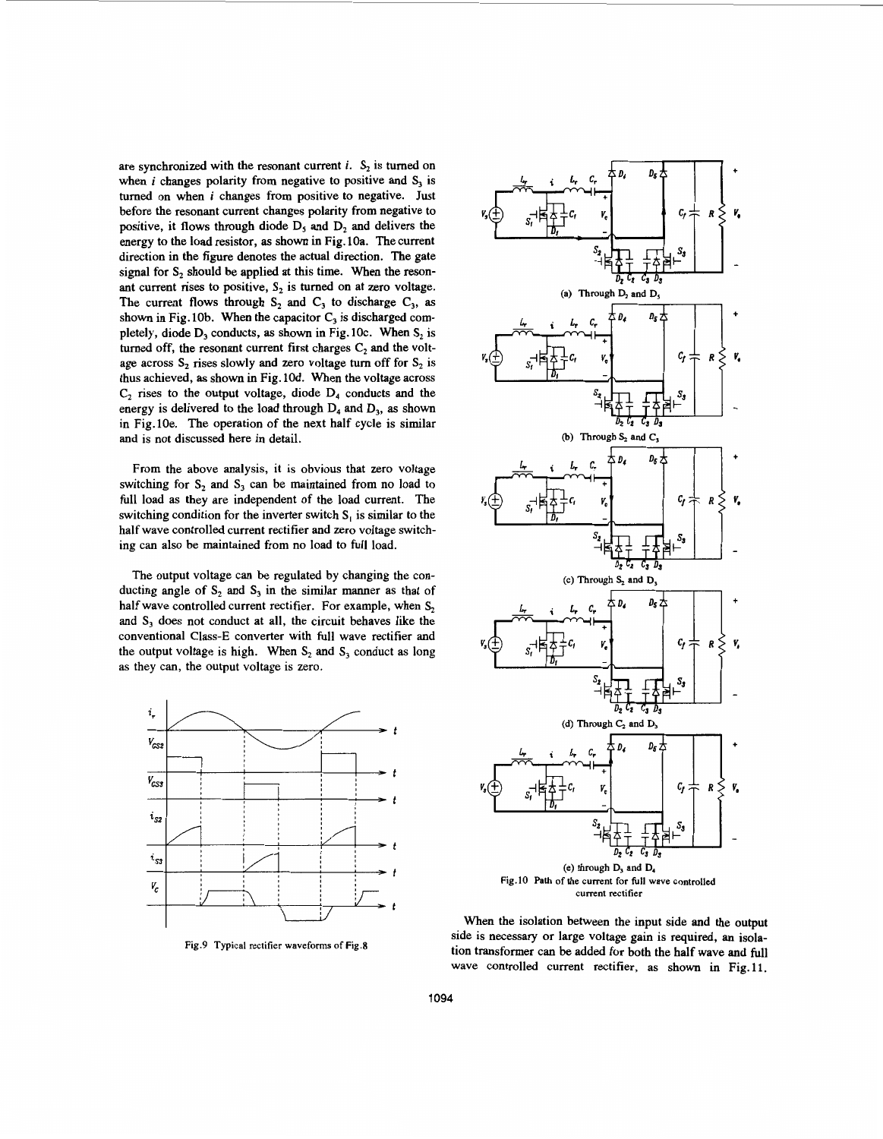are synchronized with the resonant current  $i$ .  $S_2$  is turned on when *i* changes polarity from negative to positive and **S,** is turned on when **i** changes from positive to negative. Just before the resonant current changes polarity from negative to positive, it flows through diode  $D_5$  and  $D_2$  and delivers the energy to the load resistor, **as** shown in Fig. loa. The current direction in the figure denotes the actual direction. The gate signal for  $S_2$  should be applied at this time. When the resonant current rises to positive,  $S_2$  is turned on at zero voltage. The current flows through  $S_2$  and  $C_3$  to discharge  $C_3$ , as shown in Fig. 10b. When the capacitor  $C_3$  is discharged completely, diode **D,** conducts, **as** shown in Fig. 1Oc. When **S,** is turned off, the resonant current first charges  $C_2$  and the voltage across **S,** rises slowly and zero voltage turn off for **S,** is thus achieved, **as** shown in Fig. 10d. When the voltage across  $C_2$  rises to the output voltage, diode  $D_4$  conducts and the energy is delivered to the load through **D,** and D,, **as** shown in Fig.lOe. The operation of the next half cycle is similar and is not discussed here in detail.

From the above analysis, it is obvious that zero voltage switching for  $S_2$  and  $S_3$  can be maintained from no load to full load as they are independent of the load current. The switching condition for the inverter switch  $S_i$  is similar to the half wave controlled current rectifier and zero voltage switching can also be maintained from no load to full load.

The output voltage can be regulated by changing the conducting angle of  $S_2$  and  $S_3$  in the similar manner as that of half wave controlled current rectifier. For example, when **S,**  and **S,** does not conduct at all, the circuit behaves like the conventional Class-E converter with full wave rectifier and the output voltage is high. When **S,** and **S,** conduct as long as they can, the output voltage is zero.



**Fig.9 Typical rectifier waveforms of Fig.8** 



When the isolation between the input side and the output side is necessary or large voltage gain is required, an isolation transformer can be added for both the half wave and full wave controlled current rectifier, **as** shown in Fig.11.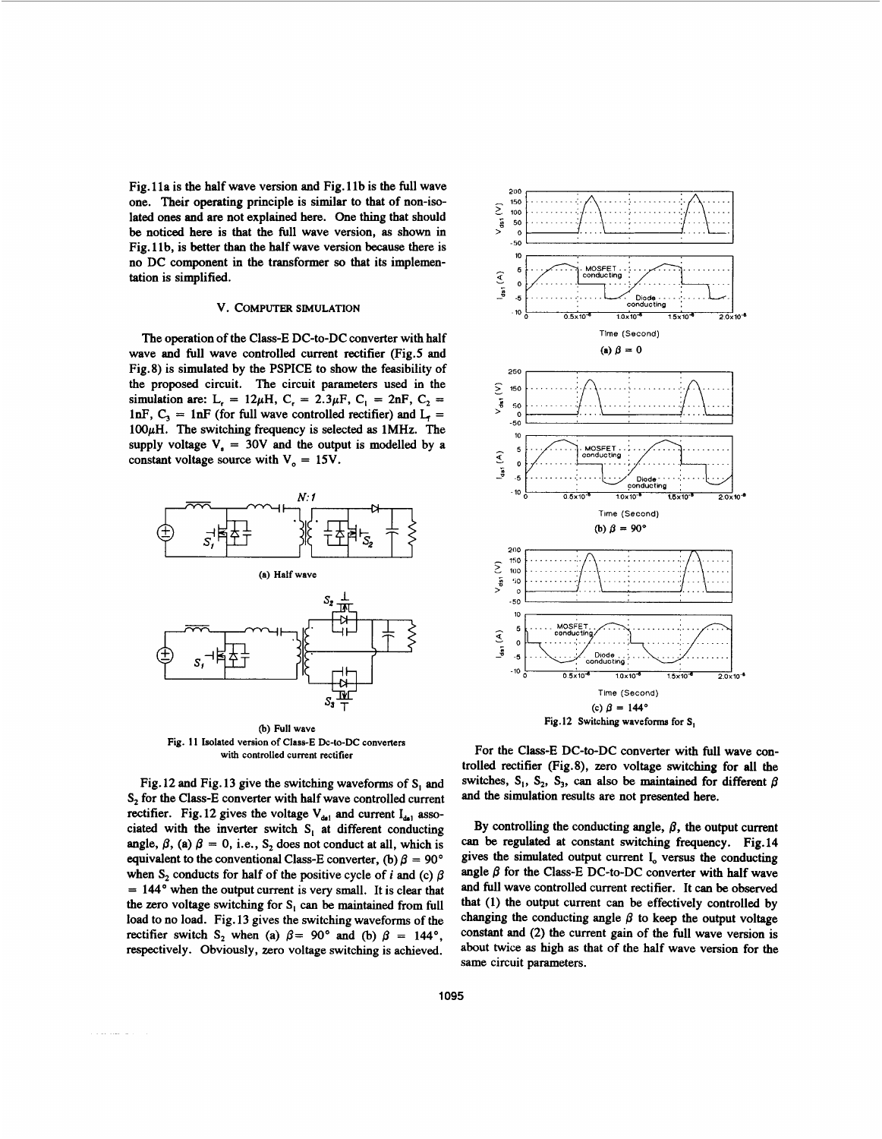[Fig. 1](#page-0-0) la is the half wave version and [Fig. 1](#page-0-0) lb is the full wave one. Their operating principle is similar to that of non-isolated **ones** and are not explained here. One thing that should be noticed here is that the full wave version, **as** shown in [Fig. 1](#page-0-0) lb, is better than the half wave version because there is **no** DC component in the transformer *so* that its implementation is simplified.

# v. COMPUTER **SIMULATION**

The operation of the Class-E DC-to-DC converter with half wave and full wave controlled current rectifier (Fig.5 and Fig.8) is simulated by the PSPICE to show the feasibility of the proposed circuit. The circuit parameters used in the simulation are:  $L_t = 12\mu H$ ,  $C_t = 2.3\mu F$ ,  $C_1 = 2nF$ ,  $C_2 =$ lnF,  $C_3 = 1nF$  (for full wave controlled rectifier) and  $L_f =$ 100pH. The switching frequency is selected **as** 1MHz. The supply voltage  $V_a = 30V$  and the output is modelled by a constant voltage source with  $V_0 = 15V$ .



(b) **Full wave Fig. 11 Isolated version of Class-E Dc-to-DC converters with controlled current rectifier** 

Fig. 12 and Fig. 13 give the switching waveforms of  $S<sub>1</sub>$  and **S,** for the Class-E converter with half wave controlled current rectifier. Fig. 12 gives the voltage  $V_{dd}$  and current  $I_{dd}$  associated with the inverter switch  $S<sub>1</sub>$  at different conducting angle,  $\beta$ , (a)  $\beta = 0$ , i.e., S<sub>2</sub> does not conduct at all, which is equivalent to the conventional Class-E converter, (b)  $\beta = 90^{\circ}$ when  $S_2$  conducts for half of the positive cycle of *i* and (c)  $\beta$  $= 144^{\circ}$  when the output current is very small. It is clear that the zero voltage switching for  $S<sub>1</sub>$  can be maintained from full load to **no** load. Fig. 13 gives the switching waveforms of the rectifier switch  $S_2$  when (a)  $\beta = 90^\circ$  and (b)  $\beta = 144^\circ$ , respectively. Obviously, zero voltage switching is achieved.



For the Class-E DC-to-DC converter with full wave **con**trolled rectifier (Fig.8), zero voltage switching for all the switches,  $S_1$ ,  $S_2$ ,  $S_3$ , can also be maintained for different  $\beta$ and the simulation results are not presented here.

By controlling the conducting angle,  $\beta$ , the output current *can* be regulated at constant switching frequency. Fig.14 gives the simulated output current **I,** versus the conducting angle  $\beta$  for the Class-E DC-to-DC converter with half wave and full wave controlled current rectifier. It can be observed that (1) the output current can be effectively controlled by changing the conducting angle  $\beta$  to keep the output voltage constant and **(2)** the current gain of the full wave version is about twice **as** high **as** that of the half wave version for the same circuit parameters.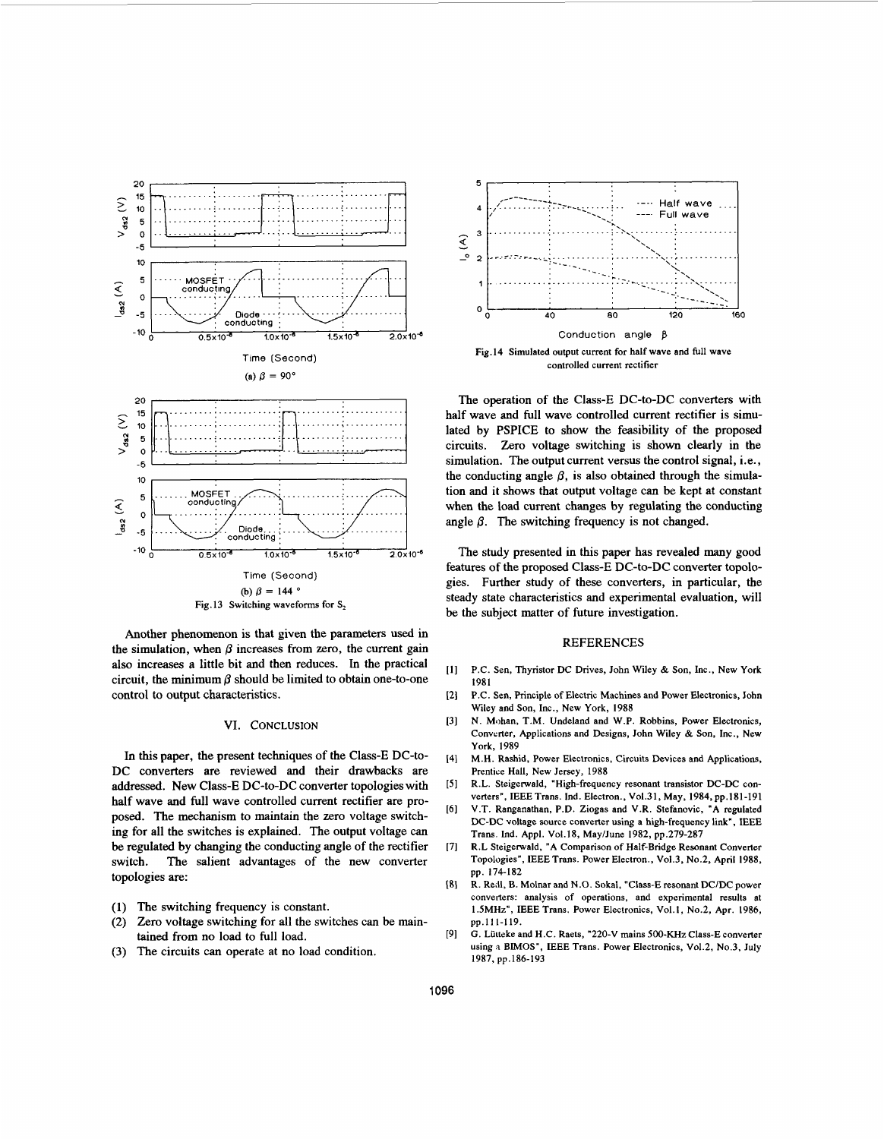

Another phenomenon is that given the parameters **used** in the simulation, when  $\beta$  increases from zero, the current gain also increases a little bit and then reduces. In the practical circuit, the minimum  $\beta$  should be limited to obtain one-to-one control to output characteristics.

#### VI. CONCLUSION

In this paper, the present techniques of the Class-E DC-to-DC converters are reviewed and their drawbacks are addressed. New Class-E DC-to-DC converter topologies with half wave and full wave controlled current rectifier are proposed. The mechanism to maintain the zero voltage switching for all the switches is explained. The output voltage *can*  be regulated by changing the conducting angle of the rectifier switch. The salient advantages of the new converter topologies are:

- **(1)** The switching frequency is constant.
- (2) Zero voltage switching for all the switches can be maintained from no load to full load.
- (3) The circuits can operate at no load condition.



The operation of the Class-E DC-to-DC converters with half wave and full wave controlled current rectifier is simulated by PSPICE to show the feasibility of the proposed circuits. Zero voltage switching is shown clearly in the simulation. The output current versus the control signal, i.e., the conducting angle  $\beta$ , is also obtained through the simulation and it shows that output voltage can be kept at constant when the load current changes by regulating the conducting angle  $\beta$ . The switching frequency is not changed.

The study presented in this paper has revealed many good features of the proposed Class-E DC-to-DC converter topologies. Further study of these converters, in particular, the steady state characteristics and experimental evaluation, will be the subject matter of future investigation.

## REFERENCES

- $111$ P.C. Sen, Thyristor DC Drives, John Wiley & Son, Inc., New York 1981
- P.C. Sen, Principle of Electric Machines and Power Electronics, John  $\left| \frac{1}{2} \right|$ Wiley and Son, Inc., New York, 1988
- $131$ N. Mohan, T.M. Undeland and W.P. Robbins, Power Electronics, Converter, Applications and Designs, John Wiley & Son, Inc., New York, 1989
- 141 M.H. Rashid, Power Electronics, Circuits Devices and Applications, Prentice Hall, New Jersey, 1988
- $[5]$ R.L. Steigerwald, "High-frequency resonant transistor DC-DC converters", IEEE Trans. Ind. Electron., Vol.31, May, 1984, pp.181-191
- I61 V.T. Ranganathan, P.D. Ziogas and V.R. Stefanovic, "A regulated DC-DC voltage source converter using a high-frequency link", **IEEE**  Trans. Ind. Appl. Vo1.18, May/June 1982, pp.279-287
- r71 R.L Steigerwald, "A Comparison of Half-Bridge Resonant Converter Topologies", IEEETrans. Power Electron., Vo1.3, No.2, April 1988, pp. 174-182
- t81 R. Redl, **B.** Molnar and N.O. Sokal, "Class-E resonant DC/DC power converters: analysis of operations, and experimental results at **1 SMHz",** IEEE Trans. Power Electronics, Vol.1, No.2, Apr. 1986, pp.111-119.
- I91 G. Liitteke and H.C. Raets, "220-V mains **500-KHz** Class-E converter using a **BIMOS",** IEEE Trans. Power Electronics, V01.2, No.3, July 1987, pp.186-193